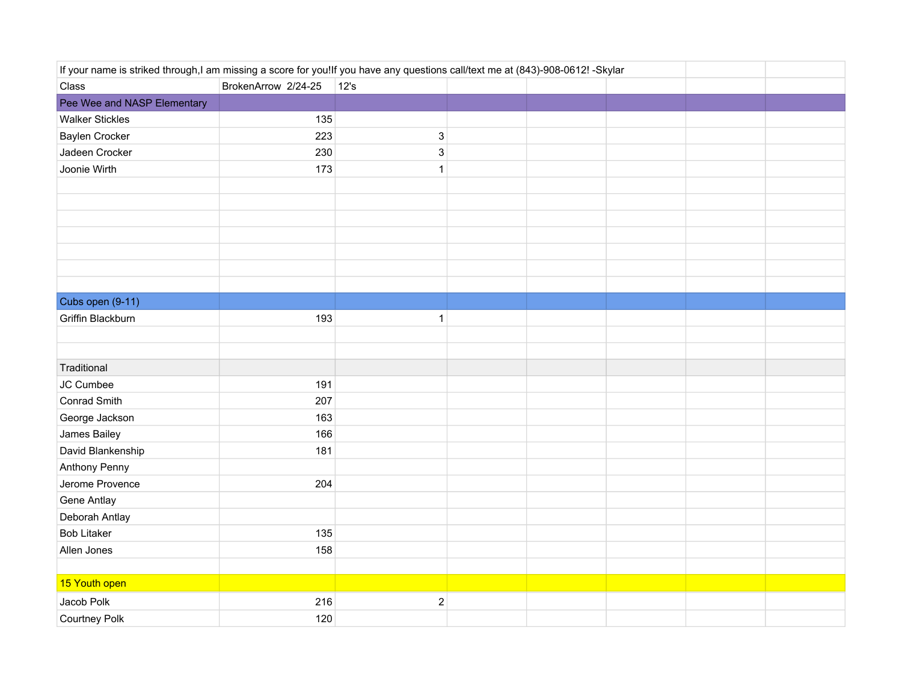| If your name is striked through,I am missing a score for you!If you have any questions call/text me at (843)-908-0612! -Skylar |                     |                           |  |  |  |  |  |
|--------------------------------------------------------------------------------------------------------------------------------|---------------------|---------------------------|--|--|--|--|--|
| Class                                                                                                                          | BrokenArrow 2/24-25 | 12's                      |  |  |  |  |  |
| Pee Wee and NASP Elementary                                                                                                    |                     |                           |  |  |  |  |  |
| <b>Walker Stickles</b>                                                                                                         | 135                 |                           |  |  |  |  |  |
| Baylen Crocker                                                                                                                 | 223                 | $\ensuremath{\mathsf{3}}$ |  |  |  |  |  |
| Jadeen Crocker                                                                                                                 | 230                 | $\ensuremath{\mathsf{3}}$ |  |  |  |  |  |
| Joonie Wirth                                                                                                                   | 173                 | $\mathbf{1}$              |  |  |  |  |  |
|                                                                                                                                |                     |                           |  |  |  |  |  |
|                                                                                                                                |                     |                           |  |  |  |  |  |
|                                                                                                                                |                     |                           |  |  |  |  |  |
|                                                                                                                                |                     |                           |  |  |  |  |  |
|                                                                                                                                |                     |                           |  |  |  |  |  |
|                                                                                                                                |                     |                           |  |  |  |  |  |
|                                                                                                                                |                     |                           |  |  |  |  |  |
| Cubs open (9-11)                                                                                                               |                     |                           |  |  |  |  |  |
| Griffin Blackburn                                                                                                              | 193                 | $\mathbf{1}$              |  |  |  |  |  |
|                                                                                                                                |                     |                           |  |  |  |  |  |
|                                                                                                                                |                     |                           |  |  |  |  |  |
| Traditional                                                                                                                    |                     |                           |  |  |  |  |  |
| JC Cumbee                                                                                                                      | 191                 |                           |  |  |  |  |  |
| Conrad Smith                                                                                                                   | 207                 |                           |  |  |  |  |  |
| George Jackson                                                                                                                 | 163                 |                           |  |  |  |  |  |
| James Bailey                                                                                                                   | 166                 |                           |  |  |  |  |  |
| David Blankenship                                                                                                              | 181                 |                           |  |  |  |  |  |
| Anthony Penny                                                                                                                  |                     |                           |  |  |  |  |  |
| Jerome Provence                                                                                                                | 204                 |                           |  |  |  |  |  |
| Gene Antlay                                                                                                                    |                     |                           |  |  |  |  |  |
| Deborah Antlay                                                                                                                 |                     |                           |  |  |  |  |  |
| <b>Bob Litaker</b>                                                                                                             | 135                 |                           |  |  |  |  |  |
| Allen Jones                                                                                                                    | 158                 |                           |  |  |  |  |  |
|                                                                                                                                |                     |                           |  |  |  |  |  |
| 15 Youth open                                                                                                                  |                     |                           |  |  |  |  |  |
| Jacob Polk                                                                                                                     | 216                 | $\mathbf 2$               |  |  |  |  |  |
| <b>Courtney Polk</b>                                                                                                           | 120                 |                           |  |  |  |  |  |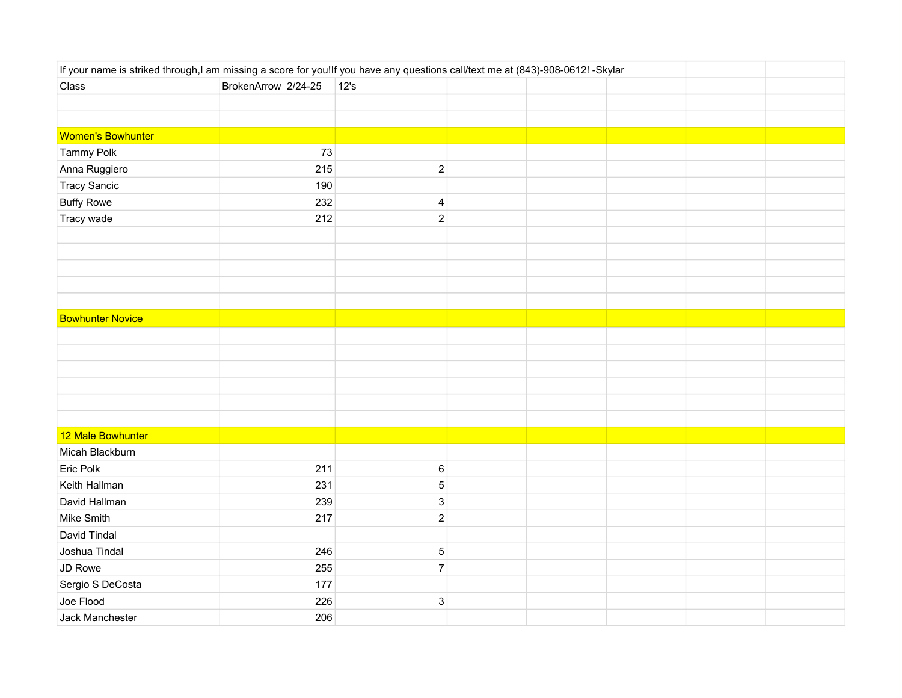| If your name is striked through,I am missing a score for you!If you have any questions call/text me at (843)-908-0612! -Skylar |                     |                           |  |  |  |  |  |
|--------------------------------------------------------------------------------------------------------------------------------|---------------------|---------------------------|--|--|--|--|--|
| Class                                                                                                                          | BrokenArrow 2/24-25 | $ 12$ 's                  |  |  |  |  |  |
|                                                                                                                                |                     |                           |  |  |  |  |  |
|                                                                                                                                |                     |                           |  |  |  |  |  |
| <b>Women's Bowhunter</b>                                                                                                       |                     |                           |  |  |  |  |  |
| Tammy Polk                                                                                                                     | 73                  |                           |  |  |  |  |  |
| Anna Ruggiero                                                                                                                  | 215                 | $\sqrt{2}$                |  |  |  |  |  |
| <b>Tracy Sancic</b>                                                                                                            | 190                 |                           |  |  |  |  |  |
| <b>Buffy Rowe</b>                                                                                                              | 232                 | $\overline{\mathbf{4}}$   |  |  |  |  |  |
| Tracy wade                                                                                                                     | 212                 | $\sqrt{2}$                |  |  |  |  |  |
|                                                                                                                                |                     |                           |  |  |  |  |  |
|                                                                                                                                |                     |                           |  |  |  |  |  |
|                                                                                                                                |                     |                           |  |  |  |  |  |
|                                                                                                                                |                     |                           |  |  |  |  |  |
|                                                                                                                                |                     |                           |  |  |  |  |  |
| <b>Bowhunter Novice</b>                                                                                                        |                     |                           |  |  |  |  |  |
|                                                                                                                                |                     |                           |  |  |  |  |  |
|                                                                                                                                |                     |                           |  |  |  |  |  |
|                                                                                                                                |                     |                           |  |  |  |  |  |
|                                                                                                                                |                     |                           |  |  |  |  |  |
|                                                                                                                                |                     |                           |  |  |  |  |  |
|                                                                                                                                |                     |                           |  |  |  |  |  |
| 12 Male Bowhunter                                                                                                              |                     |                           |  |  |  |  |  |
| Micah Blackburn                                                                                                                |                     |                           |  |  |  |  |  |
| Eric Polk                                                                                                                      | 211                 | $\,6\,$                   |  |  |  |  |  |
| Keith Hallman                                                                                                                  | 231                 | $\mathbf 5$               |  |  |  |  |  |
| David Hallman                                                                                                                  | 239                 | $\ensuremath{\mathsf{3}}$ |  |  |  |  |  |
| Mike Smith                                                                                                                     | 217                 | $\sqrt{2}$                |  |  |  |  |  |
| David Tindal                                                                                                                   |                     |                           |  |  |  |  |  |
| Joshua Tindal                                                                                                                  | 246                 | $\mathbf 5$               |  |  |  |  |  |
| JD Rowe                                                                                                                        | 255                 | $\boldsymbol{7}$          |  |  |  |  |  |
| Sergio S DeCosta                                                                                                               | 177                 |                           |  |  |  |  |  |
| Joe Flood                                                                                                                      | 226                 | $\ensuremath{\mathsf{3}}$ |  |  |  |  |  |
| Jack Manchester                                                                                                                | 206                 |                           |  |  |  |  |  |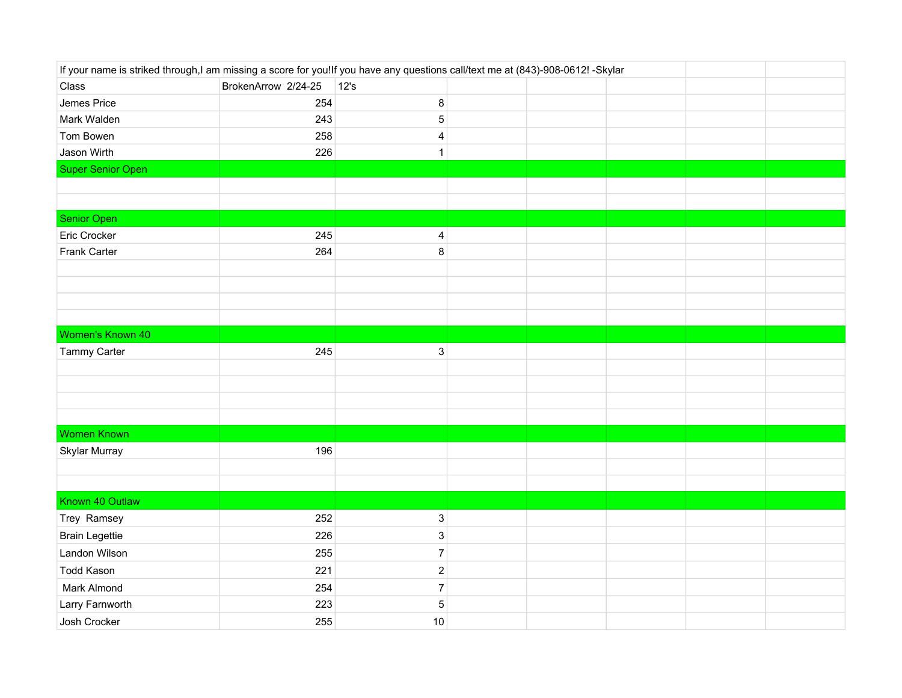| If your name is striked through,I am missing a score for you!If you have any questions call/text me at (843)-908-0612! -Skylar |                     |                           |  |  |  |  |  |
|--------------------------------------------------------------------------------------------------------------------------------|---------------------|---------------------------|--|--|--|--|--|
| Class                                                                                                                          | BrokenArrow 2/24-25 | $ 12$ 's                  |  |  |  |  |  |
| Jemes Price                                                                                                                    | 254                 | $\bf 8$                   |  |  |  |  |  |
| Mark Walden                                                                                                                    | 243                 | $\mathbf 5$               |  |  |  |  |  |
| Tom Bowen                                                                                                                      | 258                 | $\overline{\mathbf{4}}$   |  |  |  |  |  |
| Jason Wirth                                                                                                                    | 226                 | $\mathbf{1}$              |  |  |  |  |  |
| <b>Super Senior Open</b>                                                                                                       |                     |                           |  |  |  |  |  |
|                                                                                                                                |                     |                           |  |  |  |  |  |
|                                                                                                                                |                     |                           |  |  |  |  |  |
| <b>Senior Open</b>                                                                                                             |                     |                           |  |  |  |  |  |
| Eric Crocker                                                                                                                   | 245                 | $\overline{\mathbf{4}}$   |  |  |  |  |  |
| Frank Carter                                                                                                                   | 264                 | $\bf 8$                   |  |  |  |  |  |
|                                                                                                                                |                     |                           |  |  |  |  |  |
|                                                                                                                                |                     |                           |  |  |  |  |  |
|                                                                                                                                |                     |                           |  |  |  |  |  |
|                                                                                                                                |                     |                           |  |  |  |  |  |
| Women's Known 40                                                                                                               |                     |                           |  |  |  |  |  |
| Tammy Carter                                                                                                                   | 245                 | $\mathsf 3$               |  |  |  |  |  |
|                                                                                                                                |                     |                           |  |  |  |  |  |
|                                                                                                                                |                     |                           |  |  |  |  |  |
|                                                                                                                                |                     |                           |  |  |  |  |  |
|                                                                                                                                |                     |                           |  |  |  |  |  |
| <b>Women Known</b>                                                                                                             |                     |                           |  |  |  |  |  |
| Skylar Murray                                                                                                                  | 196                 |                           |  |  |  |  |  |
|                                                                                                                                |                     |                           |  |  |  |  |  |
|                                                                                                                                |                     |                           |  |  |  |  |  |
| Known 40 Outlaw                                                                                                                |                     |                           |  |  |  |  |  |
| Trey Ramsey                                                                                                                    | 252                 | $\ensuremath{\mathsf{3}}$ |  |  |  |  |  |
| <b>Brain Legettie</b>                                                                                                          | 226                 | $\ensuremath{\mathsf{3}}$ |  |  |  |  |  |
| Landon Wilson                                                                                                                  | 255                 | $\boldsymbol{7}$          |  |  |  |  |  |
| <b>Todd Kason</b>                                                                                                              | 221                 | $\sqrt{2}$                |  |  |  |  |  |
| Mark Almond                                                                                                                    | 254                 | $\boldsymbol{7}$          |  |  |  |  |  |
| Larry Farnworth                                                                                                                | 223                 | 5                         |  |  |  |  |  |
| Josh Crocker                                                                                                                   | 255                 | $10$                      |  |  |  |  |  |